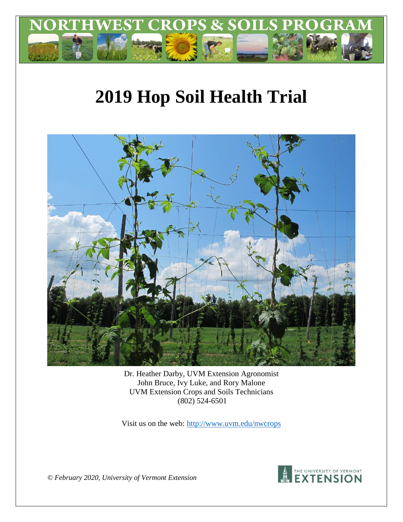

# **2019 Hop Soil Health Trial**



Dr. Heather Darby, UVM Extension Agronomist John Bruce, Ivy Luke, and Rory Malone UVM Extension Crops and Soils Technicians (802) 524-6501

Visit us on the web:<http://www.uvm.edu/nwcrops>



*© February 2020, University of Vermont Extension*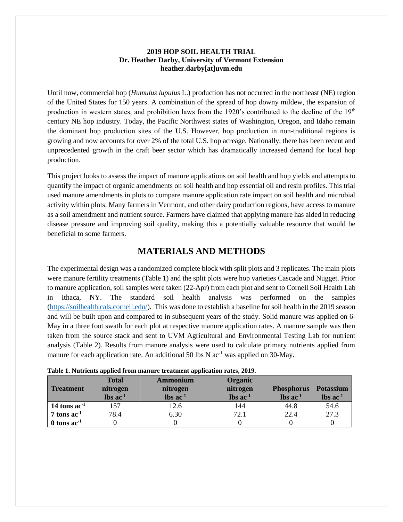#### **2019 HOP SOIL HEALTH TRIAL Dr. Heather Darby, University of Vermont Extension heather.darby[at]uvm.edu**

Until now, commercial hop (*Humulus lupulus* L.) production has not occurred in the northeast (NE) region of the United States for 150 years. A combination of the spread of hop downy mildew, the expansion of production in western states, and prohibition laws from the 1920's contributed to the decline of the 19<sup>th</sup> century NE hop industry. Today, the Pacific Northwest states of Washington, Oregon, and Idaho remain the dominant hop production sites of the U.S. However, hop production in non-traditional regions is growing and now accounts for over 2% of the total U.S. hop acreage. Nationally, there has been recent and unprecedented growth in the craft beer sector which has dramatically increased demand for local hop production.

This project looks to assess the impact of manure applications on soil health and hop yields and attempts to quantify the impact of organic amendments on soil health and hop essential oil and resin profiles. This trial used manure amendments in plots to compare manure application rate impact on soil health and microbial activity within plots. Many farmers in Vermont, and other dairy production regions, have access to manure as a soil amendment and nutrient source. Farmers have claimed that applying manure has aided in reducing disease pressure and improving soil quality, making this a potentially valuable resource that would be beneficial to some farmers.

# **MATERIALS AND METHODS**

The experimental design was a randomized complete block with split plots and 3 replicates. The main plots were manure fertility treatments (Table 1) and the split plots were hop varieties Cascade and Nugget. Prior to manure application, soil samples were taken (22-Apr) from each plot and sent to Cornell Soil Health Lab in Ithaca, NY. The standard soil health analysis was performed on the samples [\(https://soilhealth.cals.cornell.edu/\)](https://soilhealth.cals.cornell.edu/). This was done to establish a baseline for soil health in the 2019 season and will be built upon and compared to in subsequent years of the study. Solid manure was applied on 6- May in a three foot swath for each plot at respective manure application rates. A manure sample was then taken from the source stack and sent to UVM Agricultural and Environmental Testing Lab for nutrient analysis (Table 2). Results from manure analysis were used to calculate primary nutrients applied from manure for each application rate. An additional 50 lbs N ac<sup>-1</sup> was applied on 30-May.

| <b>Treatment</b>              | <b>Total</b><br>nitrogen<br>$\text{lbs}$ ac <sup>-1</sup> | Ammonium<br>nitrogen<br>$\text{lbs}$ ac <sup>-1</sup> | Organic<br>nitrogen<br>$\text{lbs}$ ac <sup>-1</sup> | <b>Phosphorus</b><br>$\text{lbs}$ ac <sup>-1</sup> | <b>Potassium</b><br>$\text{lbs}$ ac <sup>-1</sup> |
|-------------------------------|-----------------------------------------------------------|-------------------------------------------------------|------------------------------------------------------|----------------------------------------------------|---------------------------------------------------|
| 14 tons $ac^{-1}$             | 157                                                       | 2.6                                                   | 144                                                  | 44.8                                               | 54.6                                              |
| $7 \text{ tons } \text{ac}^1$ | 78.4                                                      | 6.30                                                  | 72.1                                                 | 22.4                                               | 27.3                                              |
| $0$ tons ac <sup>-1</sup>     |                                                           |                                                       |                                                      |                                                    |                                                   |

| Table 1. Nutrients applied from manure treatment application rates, 2019. |  |  |  |
|---------------------------------------------------------------------------|--|--|--|
|---------------------------------------------------------------------------|--|--|--|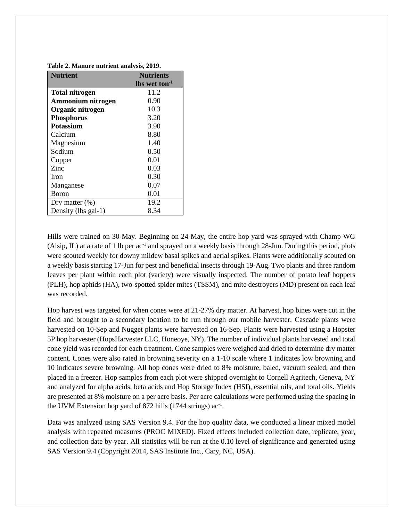| <b>Nutrient</b>       | <b>Nutrients</b>            |
|-----------------------|-----------------------------|
|                       | $\ln$ wet ton <sup>-1</sup> |
| <b>Total nitrogen</b> | 11.2                        |
| Ammonium nitrogen     | 0.90                        |
| Organic nitrogen      | 10.3                        |
| <b>Phosphorus</b>     | 3.20                        |
| <b>Potassium</b>      | 3.90                        |
| Calcium               | 8.80                        |
| Magnesium             | 1.40                        |
| Sodium                | 0.50                        |
| Copper                | 0.01                        |
| Zinc                  | 0.03                        |
| Iron                  | 0.30                        |
| Manganese             | 0.07                        |
| Boron                 | 0.01                        |
| Dry matter $(\%)$     | 19.2                        |
| Density (lbs gal-1)   | 8.34                        |

**Table 2. Manure nutrient analysis, 2019.** 

Hills were trained on 30-May. Beginning on 24-May, the entire hop yard was sprayed with Champ WG (Alsip, IL) at a rate of 1 lb per ac<sup>-1</sup> and sprayed on a weekly basis through 28-Jun. During this period, plots were scouted weekly for downy mildew basal spikes and aerial spikes. Plants were additionally scouted on a weekly basis starting 17-Jun for pest and beneficial insects through 19-Aug. Two plants and three random leaves per plant within each plot (variety) were visually inspected. The number of potato leaf hoppers (PLH), hop aphids (HA), two-spotted spider mites (TSSM), and mite destroyers (MD) present on each leaf was recorded.

Hop harvest was targeted for when cones were at 21-27% dry matter. At harvest, hop bines were cut in the field and brought to a secondary location to be run through our mobile harvester. Cascade plants were harvested on 10-Sep and Nugget plants were harvested on 16-Sep. Plants were harvested using a Hopster 5P hop harvester (HopsHarvester LLC, Honeoye, NY). The number of individual plants harvested and total cone yield was recorded for each treatment. Cone samples were weighed and dried to determine dry matter content. Cones were also rated in browning severity on a 1-10 scale where 1 indicates low browning and 10 indicates severe browning. All hop cones were dried to 8% moisture, baled, vacuum sealed, and then placed in a freezer. Hop samples from each plot were shipped overnight to Cornell Agritech, Geneva, NY and analyzed for alpha acids, beta acids and Hop Storage Index (HSI), essential oils, and total oils. Yields are presented at 8% moisture on a per acre basis. Per acre calculations were performed using the spacing in the UVM Extension hop yard of 872 hills  $(1744 \text{ strings})$  ac<sup>-1</sup>.

Data was analyzed using SAS Version 9.4. For the hop quality data, we conducted a linear mixed model analysis with repeated measures (PROC MIXED). Fixed effects included collection date, replicate, year, and collection date by year. All statistics will be run at the 0.10 level of significance and generated using SAS Version 9.4 (Copyright 2014, SAS Institute Inc., Cary, NC, USA).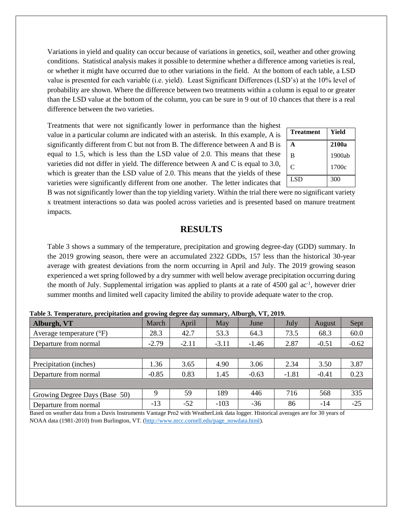Variations in yield and quality can occur because of variations in genetics, soil, weather and other growing conditions. Statistical analysis makes it possible to determine whether a difference among varieties is real, or whether it might have occurred due to other variations in the field. At the bottom of each table, a LSD value is presented for each variable (i.e. yield). Least Significant Differences (LSD's) at the 10% level of probability are shown. Where the difference between two treatments within a column is equal to or greater than the LSD value at the bottom of the column, you can be sure in 9 out of 10 chances that there is a real difference between the two varieties.

Treatments that were not significantly lower in performance than the highest value in a particular column are indicated with an asterisk. In this example, A is significantly different from C but not from B. The difference between A and B is equal to 1.5, which is less than the LSD value of 2.0. This means that these varieties did not differ in yield. The difference between A and C is equal to 3.0, which is greater than the LSD value of 2.0. This means that the yields of these varieties were significantly different from one another. The letter indicates that

| <b>Treatment</b> | Yield  |
|------------------|--------|
|                  | 2100a  |
| B                | 1900ab |
| C                | 1700c  |
| LSD <sub>1</sub> | 300    |

B was not significantly lower than the top yielding variety. Within the trial there were no significant variety x treatment interactions so data was pooled across varieties and is presented based on manure treatment impacts.

## **RESULTS**

Table 3 shows a summary of the temperature, precipitation and growing degree-day (GDD) summary. In the 2019 growing season, there were an accumulated 2322 GDDs, 157 less than the historical 30-year average with greatest deviations from the norm occurring in April and July. The 2019 growing season experienced a wet spring followed by a dry summer with well below average precipitation occurring during the month of July. Supplemental irrigation was applied to plants at a rate of 4500 gal ac<sup>-1</sup>, however drier summer months and limited well capacity limited the ability to provide adequate water to the crop.

|                                     | Table 5. Temperature, precipitation and growing degree any summary, mourgit, v 1, 2012.<br>March<br>April<br>May<br>July<br>Sept<br>June |         |         |         |         |         |         |  |  |
|-------------------------------------|------------------------------------------------------------------------------------------------------------------------------------------|---------|---------|---------|---------|---------|---------|--|--|
| Alburgh, VT                         |                                                                                                                                          |         |         |         |         | August  |         |  |  |
| Average temperature $({}^{\circ}F)$ | 28.3                                                                                                                                     | 42.7    | 53.3    | 64.3    | 73.5    | 68.3    | 60.0    |  |  |
| Departure from normal               | $-2.79$                                                                                                                                  | $-2.11$ | $-3.11$ | $-1.46$ | 2.87    | $-0.51$ | $-0.62$ |  |  |
|                                     |                                                                                                                                          |         |         |         |         |         |         |  |  |
| Precipitation (inches)              | 1.36                                                                                                                                     | 3.65    | 4.90    | 3.06    | 2.34    | 3.50    | 3.87    |  |  |
| Departure from normal               | $-0.85$                                                                                                                                  | 0.83    | 1.45    | $-0.63$ | $-1.81$ | $-0.41$ | 0.23    |  |  |
|                                     |                                                                                                                                          |         |         |         |         |         |         |  |  |
| Growing Degree Days (Base 50)       | 9                                                                                                                                        | 59      | 189     | 446     | 716     | 568     | 335     |  |  |
| Departure from normal               | $-13$                                                                                                                                    | $-52$   | $-103$  | $-36$   | 86      | $-14$   | $-25$   |  |  |

**Table 3. Temperature, precipitation and growing degree day summary, Alburgh, VT, 2019.**

Based on weather data from a Davis Instruments Vantage Pro2 with WeatherLink data logger. Historical averages are for 30 years of NOAA data (1981-2010) from Burlington, VT. [\(http://www.nrcc.cornell.edu/page\\_nowdata.html\)](http://www.nrcc.cornell.edu/page_nowdata.html).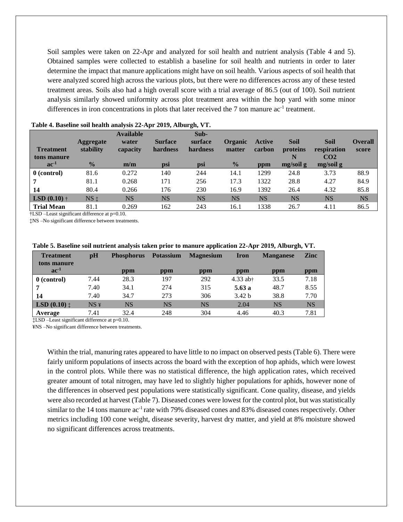Soil samples were taken on 22-Apr and analyzed for soil health and nutrient analysis (Table 4 and 5). Obtained samples were collected to establish a baseline for soil health and nutrients in order to later determine the impact that manure applications might have on soil health. Various aspects of soil health that were analyzed scored high across the various plots, but there were no differences across any of these tested treatment areas. Soils also had a high overall score with a trial average of 86.5 (out of 100). Soil nutrient analysis similarly showed uniformity across plot treatment area within the hop yard with some minor differences in iron concentrations in plots that later received the  $7$  ton manure  $ac^{-1}$  treatment.

| <b>Treatment</b><br>tons manure<br>$ac-1$ | Aggregate<br>stability<br>$\frac{0}{0}$ | <b>Available</b><br>water<br>capacity<br>m/m | <b>Surface</b><br>hardness<br>psi | Sub-<br>surface<br>hardness<br>psi | <b>Organic</b><br>matter<br>$\frac{0}{0}$ | Active<br>carbon<br>ppm | <b>Soil</b><br>proteins<br>mg/soil g | Soil<br>respiration<br>CO <sub>2</sub><br>mg/soil g | <b>Overall</b><br>score |
|-------------------------------------------|-----------------------------------------|----------------------------------------------|-----------------------------------|------------------------------------|-------------------------------------------|-------------------------|--------------------------------------|-----------------------------------------------------|-------------------------|
| 0 (control)                               | 81.6                                    | 0.272                                        | 140                               | 244                                | 14.1                                      | 1299                    | 24.8                                 | 3.73                                                | 88.9                    |
|                                           | 81.1                                    | 0.268                                        | 171                               | 256                                | 17.3                                      | 1322                    | 28.8                                 | 4.27                                                | 84.9                    |
| 14                                        | 80.4                                    | 0.266                                        | 176                               | 230                                | 16.9                                      | 1392                    | 26.4                                 | 4.32                                                | 85.8                    |
| <b>LSD</b> $(0.10)$ †                     | NS:                                     | <b>NS</b>                                    | <b>NS</b>                         | <b>NS</b>                          | <b>NS</b>                                 | <b>NS</b>               | <b>NS</b>                            | <b>NS</b>                                           | <b>NS</b>               |
| <b>Trial Mean</b>                         | 81.1                                    | 0.269                                        | 162                               | 243                                | 16.1                                      | 1338                    | 26.7                                 | 4.11                                                | 86.5                    |

#### **Table 4. Baseline soil health analysis 22-Apr 2019, Alburgh, VT.**

†LSD –Least significant difference at p=0.10.

‡NS –No significant difference between treatments.

| <b>Treatment</b>               | $\mathbf{p}$ H   | <b>Phosphorus</b> | <b>Potassium</b> | <b>Magnesium</b> | <b>Iron</b>       | <b>Manganese</b> | <b>Zinc</b> |
|--------------------------------|------------------|-------------------|------------------|------------------|-------------------|------------------|-------------|
| tons manure                    |                  |                   |                  |                  |                   |                  |             |
| $ac-1$                         |                  | ppm               | ppm              | ppm              | ppm               | ppm              | ppm         |
| $0$ (control)                  | 7.44             | 28.3              | 197              | 292              | $4.33$ ab+        | 33.5             | 7.18        |
| 7                              | 7.40             | 34.1              | 274              | 315              | 5.63 a            | 48.7             | 8.55        |
| 14                             | 7.40             | 34.7              | 273              | 306              | 3.42 <sub>b</sub> | 38.8             | 7.70        |
| <b>LSD</b> $(0.10)$ $\ddagger$ | $NS \frac{1}{2}$ | <b>NS</b>         | <b>NS</b>        | NS               | 2.04              | <b>NS</b>        | <b>NS</b>   |
| Average                        | 7.41             | 32.4              | 248              | 304              | 4.46              | 40.3             | 7.81        |

#### **Table 5. Baseline soil nutrient analysis taken prior to manure application 22-Apr 2019, Alburgh, VT.**

‡LSD –Least significant difference at p=0.10.

¥NS –No significant difference between treatments.

Within the trial, manuring rates appeared to have little to no impact on observed pests (Table 6). There were fairly uniform populations of insects across the board with the exception of hop aphids, which were lowest in the control plots. While there was no statistical difference, the high application rates, which received greater amount of total nitrogen, may have led to slightly higher populations for aphids, however none of the differences in observed pest populations were statistically significant. Cone quality, disease, and yields were also recorded at harvest (Table 7). Diseased cones were lowest for the control plot, but was statistically similar to the 14 tons manure ac<sup>-1</sup> rate with 79% diseased cones and 83% diseased cones respectively. Other metrics including 100 cone weight, disease severity, harvest dry matter, and yield at 8% moisture showed no significant differences across treatments.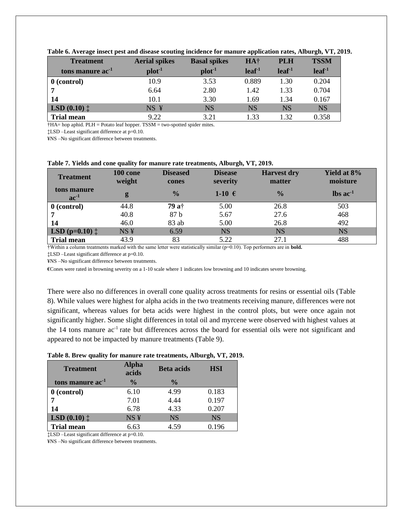| <b>Treatment</b>               | <b>Aerial spikes</b> | <b>Basal spikes</b> | HA <sup>+</sup>   | <b>PLH</b>        | <b>TSSM</b>       |
|--------------------------------|----------------------|---------------------|-------------------|-------------------|-------------------|
| tons manure ac <sup>-1</sup>   | $plot-1$             | $plot-1$            | leaf <sup>1</sup> | leaf <sup>1</sup> | leaf <sup>1</sup> |
| $0$ (control)                  | 10.9                 | 3.53                | 0.889             | 1.30              | 0.204             |
|                                | 6.64                 | 2.80                | 1.42              | 1.33              | 0.704             |
| 14                             | 10.1                 | 3.30                | 1.69              | 1.34              | 0.167             |
| <b>LSD</b> $(0.10)$ $\ddagger$ | NS ¥                 | NS                  | NS                | <b>NS</b>         | <b>NS</b>         |
| <b>Trial mean</b>              | 9.22                 | 3.21                | 1.33              | 1.32              | 0.358             |

**Table 6. Average insect pest and disease scouting incidence for manure application rates, Alburgh, VT, 2019.** 

†HA= hop aphid. PLH = Potato leaf hopper. TSSM = two-spotted spider mites.

‡LSD –Least significant difference at p=0.10.

¥NS –No significant difference between treatments.

#### **Table 7. Yields and cone quality for manure rate treatments, Alburgh, VT, 2019.**

| <b>Treatment</b>                   | 100 cone<br>weight | <b>Diseased</b><br>cones | <b>Disease</b><br>severity | <b>Harvest dry</b><br>matter | Yield at 8%<br>moisture |
|------------------------------------|--------------------|--------------------------|----------------------------|------------------------------|-------------------------|
| tons manure<br>$ac^{-1}$           | g                  | $\frac{0}{0}$            | 1-10 $\epsilon$            | $\frac{0}{0}$                | $\ln$ ac <sup>-1</sup>  |
| $0$ (control)                      | 44.8               | 79 at                    | 5.00                       | 26.8                         | 503                     |
|                                    | 40.8               | 87 b                     | 5.67                       | 27.6                         | 468                     |
| 14                                 | 46.0               | $83$ ab                  | 5.00                       | 26.8                         | 492                     |
| <b>LSD</b> ( $p=0.10$ ) $\ddagger$ | NS <sub>Y</sub>    | 6.59                     | <b>NS</b>                  | <b>NS</b>                    | <b>NS</b>               |
| <b>Trial mean</b>                  | 43.9               | 83                       | 5.22                       | 27.1                         | 488                     |

†Within a column treatments marked with the same letter were statistically similar (p=0.10). Top performers are in **bold.**

‡LSD –Least significant difference at p=0.10.

¥NS –No significant difference between treatments.

**€**Cones were rated in browning severity on a 1-10 scale where 1 indicates low browning and 10 indicates severe browning.

There were also no differences in overall cone quality across treatments for resins or essential oils (Table 8). While values were highest for alpha acids in the two treatments receiving manure, differences were not significant, whereas values for beta acids were highest in the control plots, but were once again not significantly higher. Some slight differences in total oil and myrcene were observed with highest values at the 14 tons manure ac<sup>-1</sup> rate but differences across the board for essential oils were not significant and appeared to not be impacted by manure treatments (Table 9).

#### **Table 8. Brew quality for manure rate treatments, Alburgh, VT, 2019.**

| <b>Treatment</b>               | <b>Alpha</b><br><b>Beta</b> acids<br>acids |               | <b>HSI</b> |
|--------------------------------|--------------------------------------------|---------------|------------|
| tons manure ac <sup>-1</sup>   | $\frac{0}{0}$                              | $\frac{6}{9}$ |            |
| $0$ (control)                  | 6.10                                       | 4.99          | 0.183      |
|                                | 7.01                                       | 4.44          | 0.197      |
| 14                             | 6.78                                       | 4.33          | 0.207      |
| <b>LSD</b> $(0.10)$ $\ddagger$ | NS¥                                        | <b>NS</b>     | <b>NS</b>  |
| <b>Trial mean</b>              | 6.63                                       | 4.59          | 0.196      |

‡LSD –Least significant difference at p=0.10.

¥NS –No significant difference between treatments.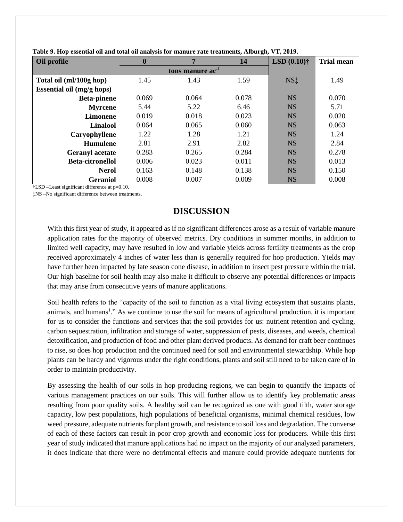| Oil profile               | $\bf{0}$ | 7                            | 14    | <b>LSD</b> $(0.10)$ † | <b>Trial mean</b> |
|---------------------------|----------|------------------------------|-------|-----------------------|-------------------|
|                           |          | tons manure ac <sup>-1</sup> |       |                       |                   |
| Total oil (ml/100g hop)   | 1.45     | 1.43                         | 1.59  | NS <sup>+</sup>       | 1.49              |
| Essential oil (mg/g hops) |          |                              |       |                       |                   |
| <b>Beta-pinene</b>        | 0.069    | 0.064                        | 0.078 | <b>NS</b>             | 0.070             |
| <b>Myrcene</b>            | 5.44     | 5.22                         | 6.46  | <b>NS</b>             | 5.71              |
| <b>Limonene</b>           | 0.019    | 0.018                        | 0.023 | <b>NS</b>             | 0.020             |
| <b>Linalool</b>           | 0.064    | 0.065                        | 0.060 | <b>NS</b>             | 0.063             |
| Caryophyllene             | 1.22     | 1.28                         | 1.21  | <b>NS</b>             | 1.24              |
| <b>Humulene</b>           | 2.81     | 2.91                         | 2.82  | <b>NS</b>             | 2.84              |
| <b>Geranyl</b> acetate    | 0.283    | 0.265                        | 0.284 | <b>NS</b>             | 0.278             |
| <b>Beta-citronellol</b>   | 0.006    | 0.023                        | 0.011 | <b>NS</b>             | 0.013             |
| <b>Nerol</b>              | 0.163    | 0.148                        | 0.138 | <b>NS</b>             | 0.150             |
| Geraniol                  | 0.008    | 0.007                        | 0.009 | <b>NS</b>             | 0.008             |

**Table 9. Hop essential oil and total oil analysis for manure rate treatments, Alburgh, VT, 2019.** 

†LSD –Least significant difference at p=0.10.

‡NS –No significant difference between treatments.

# **DISCUSSION**

With this first year of study, it appeared as if no significant differences arose as a result of variable manure application rates for the majority of observed metrics. Dry conditions in summer months, in addition to limited well capacity, may have resulted in low and variable yields across fertility treatments as the crop received approximately 4 inches of water less than is generally required for hop production. Yields may have further been impacted by late season cone disease, in addition to insect pest pressure within the trial. Our high baseline for soil health may also make it difficult to observe any potential differences or impacts that may arise from consecutive years of manure applications.

Soil health refers to the "capacity of the soil to function as a vital living ecosystem that sustains plants, animals, and humans<sup>1</sup>." As we continue to use the soil for means of agricultural production, it is important for us to consider the functions and services that the soil provides for us: nutrient retention and cycling, carbon sequestration, infiltration and storage of water, suppression of pests, diseases, and weeds, chemical detoxification, and production of food and other plant derived products. As demand for craft beer continues to rise, so does hop production and the continued need for soil and environmental stewardship. While hop plants can be hardy and vigorous under the right conditions, plants and soil still need to be taken care of in order to maintain productivity.

By assessing the health of our soils in hop producing regions, we can begin to quantify the impacts of various management practices on our soils. This will further allow us to identify key problematic areas resulting from poor quality soils. A healthy soil can be recognized as one with good tilth, water storage capacity, low pest populations, high populations of beneficial organisms, minimal chemical residues, low weed pressure, adequate nutrients for plant growth, and resistance to soil loss and degradation. The converse of each of these factors can result in poor crop growth and economic loss for producers. While this first year of study indicated that manure applications had no impact on the majority of our analyzed parameters, it does indicate that there were no detrimental effects and manure could provide adequate nutrients for